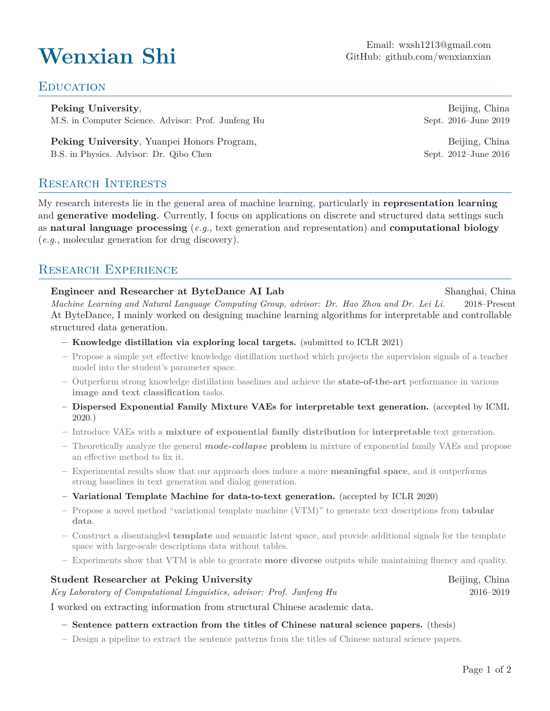Email: [wxsh1213@gmail.com](mailto:wxsh1213@gmail.com)<br>GitHub: github.com/wenxianxian GitHub: [github.com/wenxianxian](https://github.com/wenxianxian/)

## **EDUCATION**

**Peking University,** Beijing, China M.S. in Computer Science. Advisor: Prof. Junfeng Hu Sept. 2016–June 2019

**Peking University**, Yuanpei Honors Program, Beijing, China B.S. in Physics. Advisor: Dr. Qibo Chen Sept. 2012–June 2016

Research Interests

My research interests lie in the general area of machine learning, particularly in **representation learning** and **generative modeling**. Currently, I focus on applications on discrete and structured data settings such as **natural language processing** (*e.g.*, text generation and representation) and **computational biology** (*e.g.*, molecular generation for drug discovery).

# RESEARCH EXPERIENCE

**Engineer and Researcher at ByteDance AI Lab** Shanghai, China *Machine Learning and Natural Language Computing Group, advisor: Dr. Hao Zhou and Dr. Lei Li.* 2018–Present At ByteDance, I mainly worked on designing machine learning algorithms for interpretable and controllable structured data generation.

**– Knowledge distillation via exploring local targets.** (submitted to ICLR 2021)

- **–** Propose a simple yet effective knowledge distillation method which projects the supervision signals of a teacher model into the student's parameter space.
- **–** Outperform strong knowledge distillation baselines and achieve the **state-of-the-art** performance in various **image and text classification** tasks.
- **– Dispersed Exponential Family Mixture VAEs for interpretable text generation.** (accepted by ICML 2020.)
- **–** Introduce VAEs with a **mixture of exponential family distribution** for **interpretable** text generation.
- **–** Theoretically analyze the general *mode-collapse* **problem** in mixture of exponential family VAEs and propose an effective method to fix it.
- **–** Experimental results show that our approach does induce a more **meaningful space**, and it outperforms strong baselines in text generation and dialog generation.
- **– Variational Template Machine for data-to-text generation.** (accepted by ICLR 2020)
- **–** Propose a novel method "variational template machine (VTM)" to generate text descriptions from **tabular data**.
- **–** Construct a disentangled **template** and semantic latent space, and provide additional signals for the template space with large-scale descriptions data without tables.
- **–** Experiments show that VTM is able to generate **more diverse** outputs while maintaining fluency and quality.

**Student Researcher at Peking University Beijing, China** 

*Key Laboratory of Computational Linguistics, advisor: Prof. Junfeng Hu* 2016–2019

I worked on extracting information from structural Chinese academic data.

**– Sentence pattern extraction from the titles of Chinese natural science papers.** (thesis)

**–** Design a pipeline to extract the sentence patterns from the titles of Chinese natural science papers.